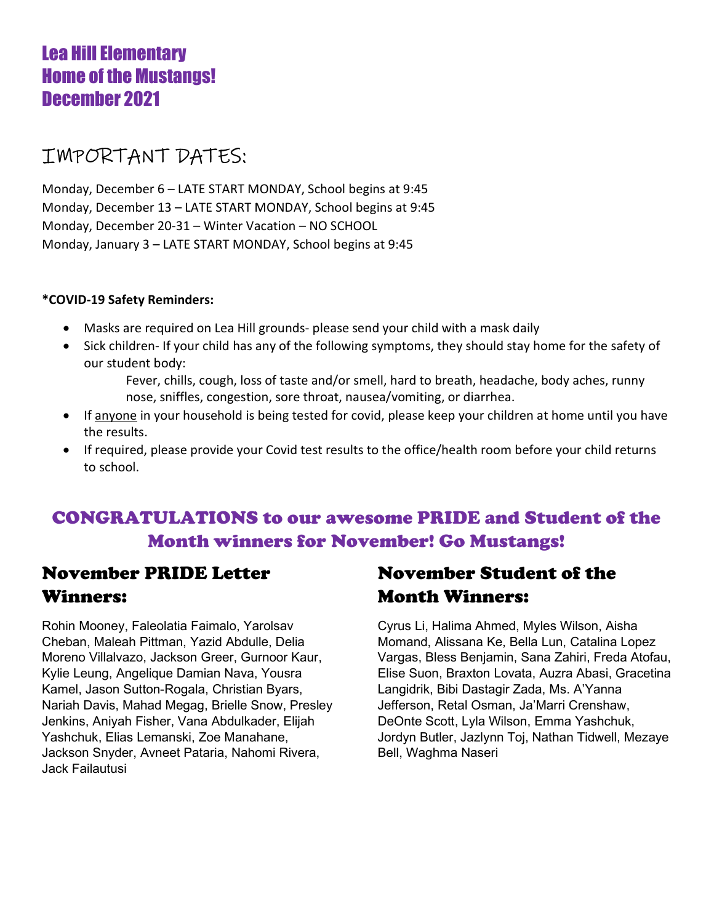## Lea Hill Elementary Home of the Mustangs! December 2021

## IMPORTANT DATES:

Monday, December 6 – LATE START MONDAY, School begins at 9:45 Monday, December 13 – LATE START MONDAY, School begins at 9:45 Monday, December 20-31 – Winter Vacation – NO SCHOOL Monday, January 3 – LATE START MONDAY, School begins at 9:45

### \*COVID-19 Safety Reminders:

- Masks are required on Lea Hill grounds- please send your child with a mask daily
- Sick children- If your child has any of the following symptoms, they should stay home for the safety of our student body:
	- Fever, chills, cough, loss of taste and/or smell, hard to breath, headache, body aches, runny nose, sniffles, congestion, sore throat, nausea/vomiting, or diarrhea.
- If anyone in your household is being tested for covid, please keep your children at home until you have the results.
- If required, please provide your Covid test results to the office/health room before your child returns to school.

## CONGRATULATIONS to our awesome PRIDE and Student of the Month winners for November! Go Mustangs!

### November PRIDE Letter Winners:

Rohin Mooney, Faleolatia Faimalo, Yarolsav Cheban, Maleah Pittman, Yazid Abdulle, Delia Moreno Villalvazo, Jackson Greer, Gurnoor Kaur, Kylie Leung, Angelique Damian Nava, Yousra Kamel, Jason Sutton-Rogala, Christian Byars, Nariah Davis, Mahad Megag, Brielle Snow, Presley Jenkins, Aniyah Fisher, Vana Abdulkader, Elijah Yashchuk, Elias Lemanski, Zoe Manahane, Jackson Snyder, Avneet Pataria, Nahomi Rivera, Jack Failautusi

## November Student of the Month Winners:

Cyrus Li, Halima Ahmed, Myles Wilson, Aisha Momand, Alissana Ke, Bella Lun, Catalina Lopez Vargas, Bless Benjamin, Sana Zahiri, Freda Atofau, Elise Suon, Braxton Lovata, Auzra Abasi, Gracetina Langidrik, Bibi Dastagir Zada, Ms. A'Yanna Jefferson, Retal Osman, Ja'Marri Crenshaw, DeOnte Scott, Lyla Wilson, Emma Yashchuk, Jordyn Butler, Jazlynn Toj, Nathan Tidwell, Mezaye Bell, Waghma Naseri